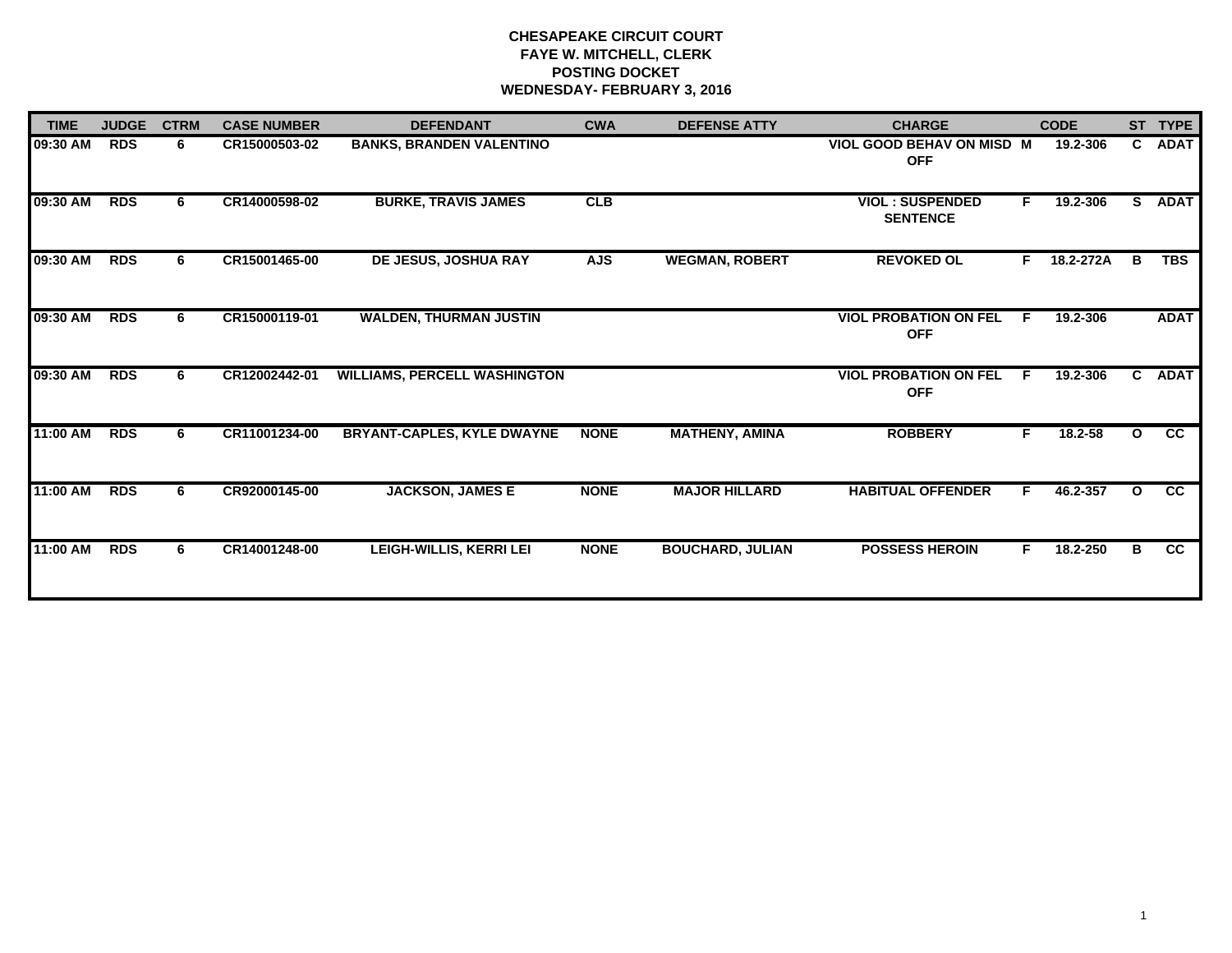# **CHESAPEAKE CIRCUIT COURT FAYE W. MITCHELL, CLERK POSTING DOCKET WEDNESDAY- FEBRUARY 3, 2016**

| <b>TIME</b> | <b>JUDGE</b> | <b>CTRM</b> | <b>CASE NUMBER</b> | <b>DEFENDANT</b>                    | <b>CWA</b>  | <b>DEFENSE ATTY</b>     | <b>CHARGE</b>                                  |    | <b>CODE</b> |              | ST TYPE         |
|-------------|--------------|-------------|--------------------|-------------------------------------|-------------|-------------------------|------------------------------------------------|----|-------------|--------------|-----------------|
| 09:30 AM    | <b>RDS</b>   | 6           | CR15000503-02      | <b>BANKS, BRANDEN VALENTINO</b>     |             |                         | <b>VIOL GOOD BEHAV ON MISD M</b><br><b>OFF</b> |    | 19.2-306    |              | C ADAT          |
| 09:30 AM    | <b>RDS</b>   | 6           | CR14000598-02      | <b>BURKE, TRAVIS JAMES</b>          | CLB         |                         | <b>VIOL: SUSPENDED</b><br><b>SENTENCE</b>      | F. | 19.2-306    | S.           | <b>ADAT</b>     |
| 09:30 AM    | <b>RDS</b>   | 6.          | CR15001465-00      | <b>DE JESUS, JOSHUA RAY</b>         | <b>AJS</b>  | <b>WEGMAN, ROBERT</b>   | <b>REVOKED OL</b>                              | F. | 18.2-272A   | в            | <b>TBS</b>      |
| 09:30 AM    | <b>RDS</b>   | 6           | CR15000119-01      | <b>WALDEN, THURMAN JUSTIN</b>       |             |                         | <b>VIOL PROBATION ON FEL</b><br><b>OFF</b>     | F  | 19.2-306    |              | <b>ADAT</b>     |
| 09:30 AM    | <b>RDS</b>   | 6           | CR12002442-01      | <b>WILLIAMS, PERCELL WASHINGTON</b> |             |                         | <b>VIOL PROBATION ON FEL</b><br><b>OFF</b>     | F. | 19.2-306    | $\mathbf{c}$ | <b>ADAT</b>     |
| 11:00 AM    | <b>RDS</b>   | 6           | CR11001234-00      | <b>BRYANT-CAPLES, KYLE DWAYNE</b>   | <b>NONE</b> | <b>MATHENY, AMINA</b>   | <b>ROBBERY</b>                                 | F. | 18.2-58     | $\mathbf{o}$ | cc              |
| 11:00 AM    | <b>RDS</b>   | 6.          | CR92000145-00      | <b>JACKSON, JAMES E</b>             | <b>NONE</b> | <b>MAJOR HILLARD</b>    | <b>HABITUAL OFFENDER</b>                       | F. | 46.2-357    | $\mathbf{o}$ | $\overline{cc}$ |
| 11:00 AM    | <b>RDS</b>   | 6.          | CR14001248-00      | <b>LEIGH-WILLIS, KERRI LEI</b>      | <b>NONE</b> | <b>BOUCHARD, JULIAN</b> | <b>POSSESS HEROIN</b>                          | F. | 18.2-250    | B            | $\overline{cc}$ |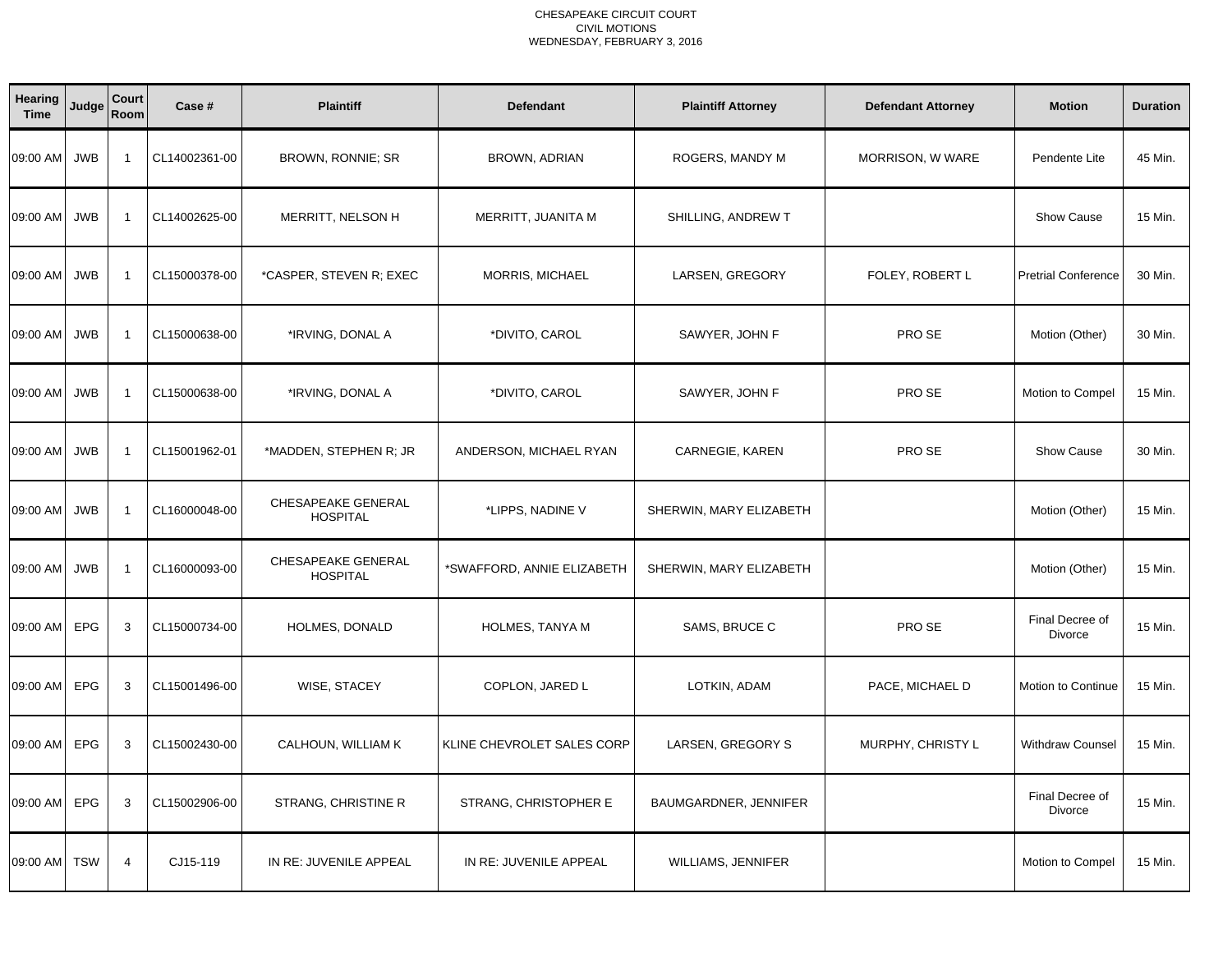| Hearing<br><b>Time</b> | Judge      | Court<br>Room  | Case #        | <b>Plaintiff</b>                      | <b>Defendant</b>           | <b>Plaintiff Attorney</b> | <b>Defendant Attorney</b> | <b>Motion</b>              | <b>Duration</b> |
|------------------------|------------|----------------|---------------|---------------------------------------|----------------------------|---------------------------|---------------------------|----------------------------|-----------------|
| 09:00 AM               | <b>JWB</b> | $\overline{1}$ | CL14002361-00 | BROWN, RONNIE; SR                     | BROWN, ADRIAN              | ROGERS, MANDY M           | MORRISON, W WARE          | Pendente Lite              | 45 Min.         |
| 09:00 AM               | <b>JWB</b> | $\overline{1}$ | CL14002625-00 | MERRITT, NELSON H                     | MERRITT, JUANITA M         | SHILLING, ANDREW T        |                           | <b>Show Cause</b>          | 15 Min.         |
| 09:00 AM               | <b>JWB</b> | $\overline{1}$ | CL15000378-00 | *CASPER, STEVEN R; EXEC               | <b>MORRIS, MICHAEL</b>     | LARSEN, GREGORY           | FOLEY, ROBERT L           | <b>Pretrial Conference</b> | 30 Min.         |
| 09:00 AM               | <b>JWB</b> | $\overline{1}$ | CL15000638-00 | *IRVING, DONAL A                      | *DIVITO, CAROL             | SAWYER, JOHN F            | PRO SE                    | Motion (Other)             | 30 Min.         |
| 09:00 AM               | <b>JWB</b> | $\overline{1}$ | CL15000638-00 | *IRVING, DONAL A                      | *DIVITO, CAROL             | SAWYER, JOHN F            | PRO SE                    | Motion to Compel           | 15 Min.         |
| 09:00 AM               | <b>JWB</b> | $\overline{1}$ | CL15001962-01 | *MADDEN, STEPHEN R; JR                | ANDERSON, MICHAEL RYAN     | CARNEGIE, KAREN           | PRO SE                    | <b>Show Cause</b>          | 30 Min.         |
| 09:00 AM               | <b>JWB</b> | $\overline{1}$ | CL16000048-00 | CHESAPEAKE GENERAL<br><b>HOSPITAL</b> | *LIPPS, NADINE V           | SHERWIN, MARY ELIZABETH   |                           | Motion (Other)             | 15 Min.         |
| 09:00 AM               | <b>JWB</b> | $\overline{1}$ | CL16000093-00 | CHESAPEAKE GENERAL<br><b>HOSPITAL</b> | *SWAFFORD, ANNIE ELIZABETH | SHERWIN, MARY ELIZABETH   |                           | Motion (Other)             | 15 Min.         |
| 09:00 AM               | <b>EPG</b> | 3              | CL15000734-00 | HOLMES, DONALD                        | HOLMES, TANYA M            | SAMS, BRUCE C             | PRO SE                    | Final Decree of<br>Divorce | 15 Min.         |
| 09:00 AM               | EPG        | 3              | CL15001496-00 | WISE, STACEY                          | COPLON, JARED L            | LOTKIN, ADAM              | PACE, MICHAEL D           | Motion to Continue         | 15 Min.         |
| 09:00 AM               | EPG        | 3              | CL15002430-00 | CALHOUN, WILLIAM K                    | KLINE CHEVROLET SALES CORP | LARSEN, GREGORY S         | MURPHY, CHRISTY L         | Withdraw Counsel           | 15 Min.         |
| 09:00 AM               | <b>EPG</b> | 3              | CL15002906-00 | STRANG, CHRISTINE R                   | STRANG, CHRISTOPHER E      | BAUMGARDNER, JENNIFER     |                           | Final Decree of<br>Divorce | 15 Min.         |
| 09:00 AM               | <b>TSW</b> | $\overline{4}$ | CJ15-119      | IN RE: JUVENILE APPEAL                | IN RE: JUVENILE APPEAL     | <b>WILLIAMS, JENNIFER</b> |                           | Motion to Compel           | 15 Min.         |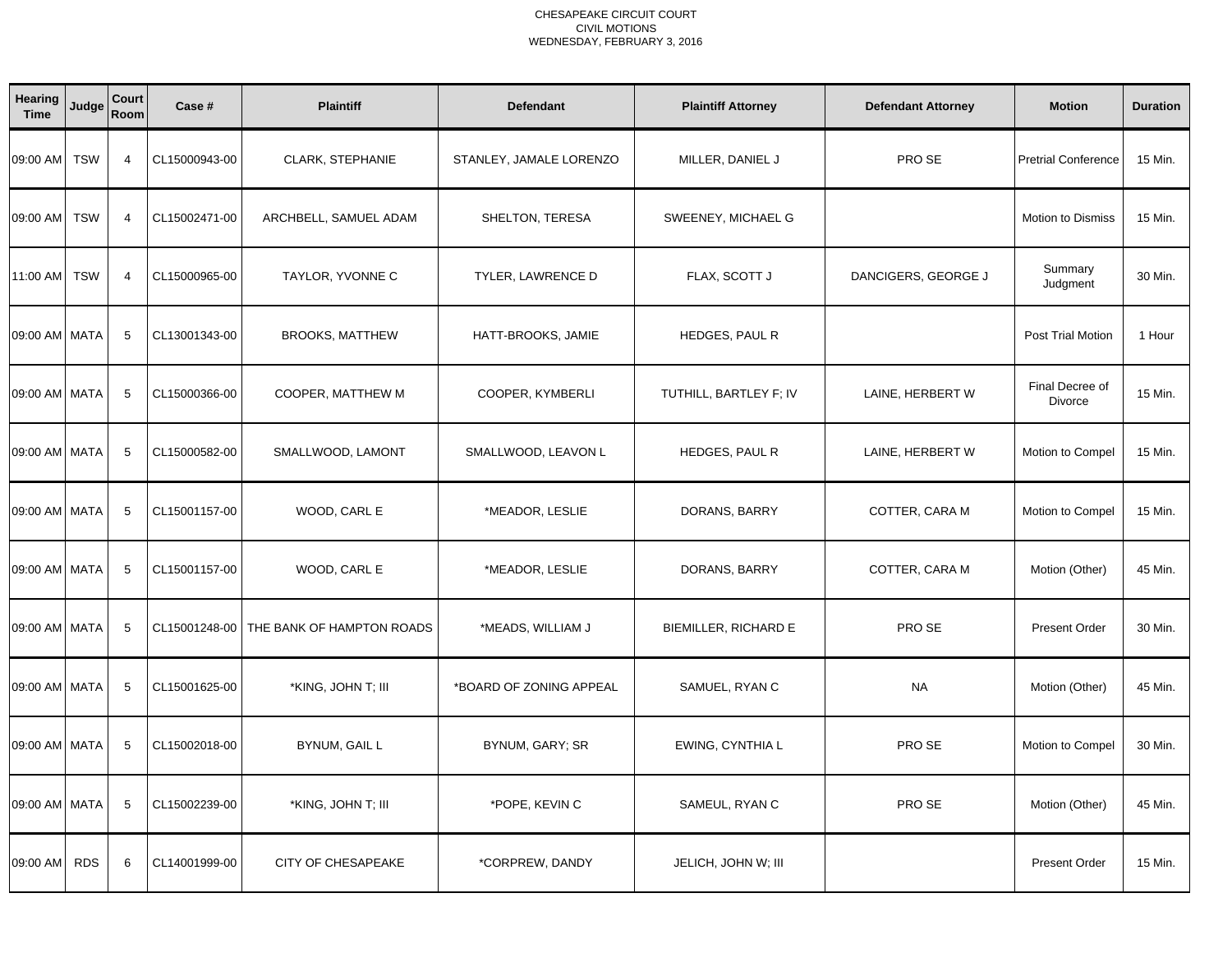| Hearing<br><b>Time</b> | Judge      | Court<br>Room   | Case #        | <b>Plaintiff</b>          | <b>Defendant</b>        | <b>Plaintiff Attorney</b> | <b>Defendant Attorney</b> | <b>Motion</b>              | <b>Duration</b> |
|------------------------|------------|-----------------|---------------|---------------------------|-------------------------|---------------------------|---------------------------|----------------------------|-----------------|
| 09:00 AM               | <b>TSW</b> | $\overline{4}$  | CL15000943-00 | CLARK, STEPHANIE          | STANLEY, JAMALE LORENZO | MILLER, DANIEL J          | PRO SE                    | <b>Pretrial Conference</b> | 15 Min.         |
| 09:00 AM               | <b>TSW</b> | $\overline{4}$  | CL15002471-00 | ARCHBELL, SAMUEL ADAM     | SHELTON, TERESA         | SWEENEY, MICHAEL G        |                           | <b>Motion to Dismiss</b>   | 15 Min.         |
| 11:00 AM               | <b>TSW</b> | $\overline{4}$  | CL15000965-00 | TAYLOR, YVONNE C          | TYLER, LAWRENCE D       | FLAX, SCOTT J             | DANCIGERS, GEORGE J       | Summary<br>Judgment        | 30 Min.         |
| 09:00 AM MATA          |            | 5               | CL13001343-00 | <b>BROOKS, MATTHEW</b>    | HATT-BROOKS, JAMIE      | HEDGES, PAUL R            |                           | <b>Post Trial Motion</b>   | 1 Hour          |
| 09:00 AM MATA          |            | 5               | CL15000366-00 | COOPER, MATTHEW M         | COOPER, KYMBERLI        | TUTHILL, BARTLEY F; IV    | LAINE, HERBERT W          | Final Decree of<br>Divorce | 15 Min.         |
| 09:00 AM MATA          |            | 5               | CL15000582-00 | SMALLWOOD, LAMONT         | SMALLWOOD, LEAVON L     | HEDGES, PAUL R            | LAINE, HERBERT W          | Motion to Compel           | 15 Min.         |
| 09:00 AM MATA          |            | 5               | CL15001157-00 | WOOD, CARL E              | *MEADOR, LESLIE         | DORANS, BARRY             | COTTER, CARA M            | Motion to Compel           | 15 Min.         |
| 09:00 AM MATA          |            | 5               | CL15001157-00 | WOOD, CARL E              | *MEADOR, LESLIE         | DORANS, BARRY             | COTTER, CARA M            | Motion (Other)             | 45 Min.         |
| 09:00 AM MATA          |            | 5               | CL15001248-00 | THE BANK OF HAMPTON ROADS | *MEADS, WILLIAM J       | BIEMILLER, RICHARD E      | PRO SE                    | <b>Present Order</b>       | 30 Min.         |
| 09:00 AM MATA          |            | $5\phantom{.0}$ | CL15001625-00 | *KING, JOHN T; III        | *BOARD OF ZONING APPEAL | SAMUEL, RYAN C            | <b>NA</b>                 | Motion (Other)             | 45 Min.         |
| 09:00 AM MATA          |            | 5               | CL15002018-00 | BYNUM, GAIL L             | BYNUM, GARY; SR         | EWING, CYNTHIA L          | PRO SE                    | Motion to Compel           | 30 Min.         |
| 09:00 AM MATA          |            | 5               | CL15002239-00 | *KING, JOHN T; III        | *POPE, KEVIN C          | SAMEUL, RYAN C            | PRO SE                    | Motion (Other)             | 45 Min.         |
| 09:00 AM               | <b>RDS</b> | 6               | CL14001999-00 | CITY OF CHESAPEAKE        | *CORPREW, DANDY         | JELICH, JOHN W; III       |                           | <b>Present Order</b>       | 15 Min.         |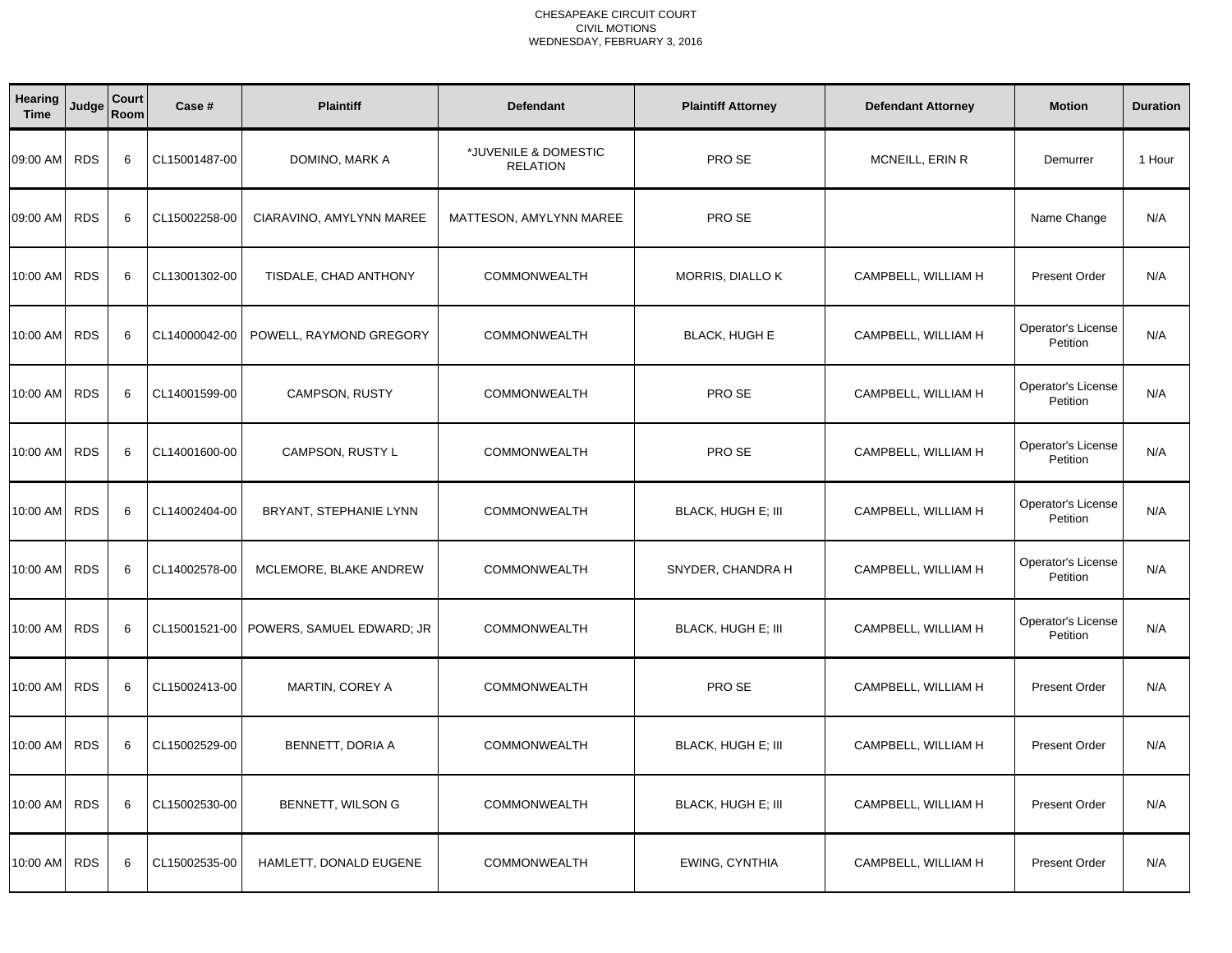| <b>Hearing</b><br><b>Time</b> | Judge      | Court<br>Room | Case #        | <b>Plaintiff</b>          | <b>Defendant</b>                        | <b>Plaintiff Attorney</b> | <b>Defendant Attorney</b> | <b>Motion</b>                         | <b>Duration</b> |
|-------------------------------|------------|---------------|---------------|---------------------------|-----------------------------------------|---------------------------|---------------------------|---------------------------------------|-----------------|
| 09:00 AM                      | <b>RDS</b> | 6             | CL15001487-00 | DOMINO, MARK A            | *JUVENILE & DOMESTIC<br><b>RELATION</b> | PRO SE                    | MCNEILL, ERIN R           | Demurrer                              | 1 Hour          |
| 09:00 AM                      | <b>RDS</b> | 6             | CL15002258-00 | CIARAVINO, AMYLYNN MAREE  | MATTESON, AMYLYNN MAREE                 | PRO SE                    |                           | Name Change                           | N/A             |
| 10:00 AM                      | <b>RDS</b> | 6             | CL13001302-00 | TISDALE, CHAD ANTHONY     | <b>COMMONWEALTH</b>                     | <b>MORRIS, DIALLO K</b>   | CAMPBELL, WILLIAM H       | <b>Present Order</b>                  | N/A             |
| 10:00 AM                      | <b>RDS</b> | 6             | CL14000042-00 | POWELL, RAYMOND GREGORY   | <b>COMMONWEALTH</b>                     | <b>BLACK, HUGH E</b>      | CAMPBELL, WILLIAM H       | <b>Operator's License</b><br>Petition | N/A             |
| 10:00 AM                      | <b>RDS</b> | 6             | CL14001599-00 | CAMPSON, RUSTY            | <b>COMMONWEALTH</b>                     | PRO SE                    | CAMPBELL, WILLIAM H       | Operator's License<br>Petition        | N/A             |
| 10:00 AM                      | <b>RDS</b> | 6             | CL14001600-00 | CAMPSON, RUSTY L          | <b>COMMONWEALTH</b>                     | PRO SE                    | CAMPBELL, WILLIAM H       | Operator's License<br>Petition        | N/A             |
| 10:00 AM                      | <b>RDS</b> | 6             | CL14002404-00 | BRYANT, STEPHANIE LYNN    | <b>COMMONWEALTH</b>                     | <b>BLACK, HUGH E; III</b> | CAMPBELL, WILLIAM H       | <b>Operator's License</b><br>Petition | N/A             |
| 10:00 AM                      | <b>RDS</b> | 6             | CL14002578-00 | MCLEMORE, BLAKE ANDREW    | <b>COMMONWEALTH</b>                     | SNYDER, CHANDRA H         | CAMPBELL, WILLIAM H       | Operator's License<br>Petition        | N/A             |
| 10:00 AM                      | <b>RDS</b> | 6             | CL15001521-00 | POWERS, SAMUEL EDWARD; JR | <b>COMMONWEALTH</b>                     | <b>BLACK, HUGH E; III</b> | CAMPBELL, WILLIAM H       | Operator's License<br>Petition        | N/A             |
| 10:00 AM                      | <b>RDS</b> | 6             | CL15002413-00 | MARTIN, COREY A           | <b>COMMONWEALTH</b>                     | PRO SE                    | CAMPBELL, WILLIAM H       | <b>Present Order</b>                  | N/A             |
| 10:00 AM                      | <b>RDS</b> | 6             | CL15002529-00 | BENNETT, DORIA A          | <b>COMMONWEALTH</b>                     | BLACK, HUGH E; III        | CAMPBELL, WILLIAM H       | <b>Present Order</b>                  | N/A             |
| 10:00 AM                      | <b>RDS</b> | 6             | CL15002530-00 | BENNETT, WILSON G         | <b>COMMONWEALTH</b>                     | <b>BLACK, HUGH E; III</b> | CAMPBELL, WILLIAM H       | Present Order                         | N/A             |
| 10:00 AM                      | <b>RDS</b> | 6             | CL15002535-00 | HAMLETT, DONALD EUGENE    | <b>COMMONWEALTH</b>                     | EWING, CYNTHIA            | CAMPBELL, WILLIAM H       | <b>Present Order</b>                  | N/A             |